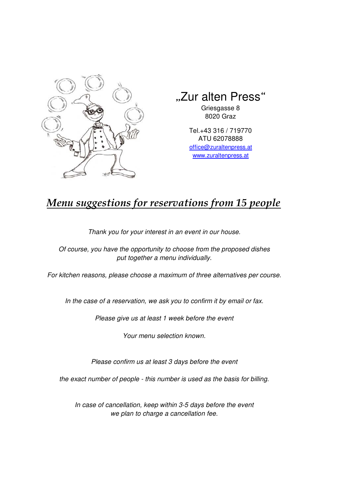

## "Zur alten Press"

Griesgasse 8 8020 Graz

Tel.+43 316 / 719770 ATU 62078888 office@zuraltenpress.at www.zuraltenpress.at

## *Menu suggestions for reservations from 15 people*

Thank you for your interest in an event in our house.

Of course, you have the opportunity to choose from the proposed dishes put together a menu individually.

For kitchen reasons, please choose a maximum of three alternatives per course.

In the case of a reservation, we ask you to confirm it by email or fax.

Please give us at least 1 week before the event

Your menu selection known.

Please confirm us at least 3 days before the event

the exact number of people - this number is used as the basis for billing.

In case of cancellation, keep within 3-5 days before the event we plan to charge a cancellation fee.